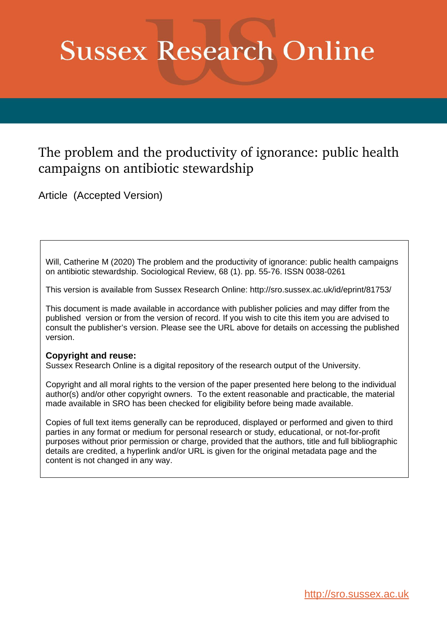# **Sussex Research Online**

# The problem and the productivity of ignorance: public health campaigns on antibiotic stewardship

Article (Accepted Version)

Will, Catherine M (2020) The problem and the productivity of ignorance: public health campaigns on antibiotic stewardship. Sociological Review, 68 (1). pp. 55-76. ISSN 0038-0261

This version is available from Sussex Research Online: http://sro.sussex.ac.uk/id/eprint/81753/

This document is made available in accordance with publisher policies and may differ from the published version or from the version of record. If you wish to cite this item you are advised to consult the publisher's version. Please see the URL above for details on accessing the published version.

# **Copyright and reuse:**

Sussex Research Online is a digital repository of the research output of the University.

Copyright and all moral rights to the version of the paper presented here belong to the individual author(s) and/or other copyright owners. To the extent reasonable and practicable, the material made available in SRO has been checked for eligibility before being made available.

Copies of full text items generally can be reproduced, displayed or performed and given to third parties in any format or medium for personal research or study, educational, or not-for-profit purposes without prior permission or charge, provided that the authors, title and full bibliographic details are credited, a hyperlink and/or URL is given for the original metadata page and the content is not changed in any way.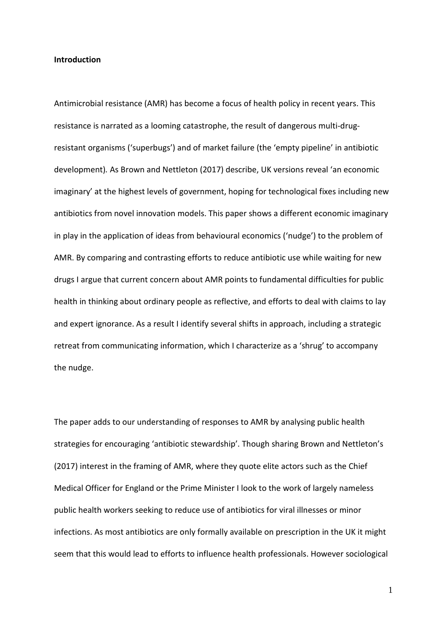#### **Introduction**

Antimicrobial resistance (AMR) has become a focus of health policy in recent years. This resistance is narrated as a looming catastrophe, the result of dangerous multi-drugresistant organisms ('superbugs') and of market failure (the 'empty pipeline' in antibiotic development)*.* As Brown and Nettleton (2017) describe, UK versions reveal 'an economic imaginary' at the highest levels of government, hoping for technological fixes including new antibiotics from novel innovation models. This paper shows a different economic imaginary in play in the application of ideas from behavioural economics ('nudge') to the problem of AMR. By comparing and contrasting efforts to reduce antibiotic use while waiting for new drugs I argue that current concern about AMR points to fundamental difficulties for public health in thinking about ordinary people as reflective, and efforts to deal with claims to lay and expert ignorance. As a result I identify several shifts in approach, including a strategic retreat from communicating information, which I characterize as a 'shrug' to accompany the nudge.

The paper adds to our understanding of responses to AMR by analysing public health strategies for encouraging 'antibiotic stewardship'. Though sharing Brown and Nettleton's (2017) interest in the framing of AMR, where they quote elite actors such as the Chief Medical Officer for England or the Prime Minister I look to the work of largely nameless public health workers seeking to reduce use of antibiotics for viral illnesses or minor infections. As most antibiotics are only formally available on prescription in the UK it might seem that this would lead to efforts to influence health professionals. However sociological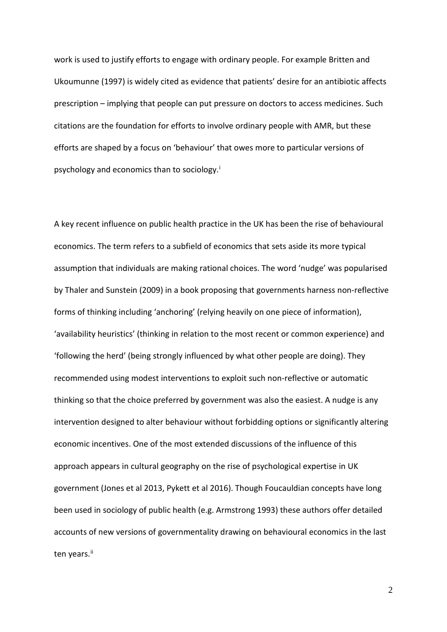work is used to justify efforts to engage with ordinary people. For example Britten and Ukoumunne (1997) is widely cited as evidence that patients' desire for an antibiotic affects prescription – implying that people can put pressure on doctors to access medicines. Such citations are the foundation for efforts to involve ordinary people with AMR, but these efforts are shaped by a focus on 'behaviour' that owes more to particular versions of psychology and econom[i](#page-31-0)cs than to sociology.<sup>i</sup>

A key recent influence on public health practice in the UK has been the rise of behavioural economics. The term refers to a subfield of economics that sets aside its more typical assumption that individuals are making rational choices. The word 'nudge' was popularised by Thaler and Sunstein (2009) in a book proposing that governments harness non-reflective forms of thinking including 'anchoring' (relying heavily on one piece of information), 'availability heuristics' (thinking in relation to the most recent or common experience) and 'following the herd' (being strongly influenced by what other people are doing). They recommended using modest interventions to exploit such non-reflective or automatic thinking so that the choice preferred by government was also the easiest. A nudge is any intervention designed to alter behaviour without forbidding options or significantly altering economic incentives. One of the most extended discussions of the influence of this approach appears in cultural geography on the rise of psychological expertise in UK government (Jones et al 2013, Pykett et al 2016). Though Foucauldian concepts have long been used in sociology of public health (e.g. Armstrong 1993) these authors offer detailed accounts of new versions of governmentality drawing on behavioural economics in the last ten years.<sup>[ii](#page-31-1)</sup>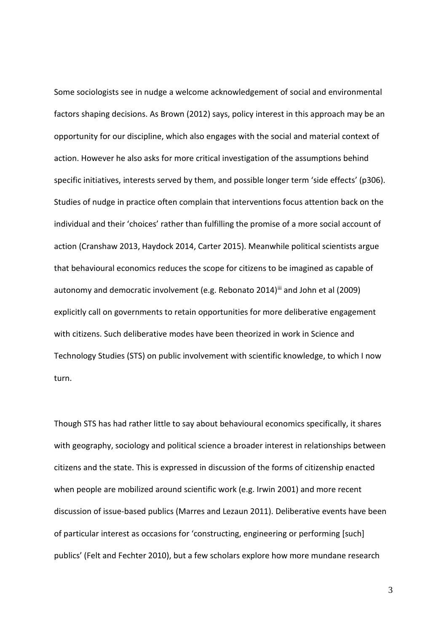Some sociologists see in nudge a welcome acknowledgement of social and environmental factors shaping decisions. As Brown (2012) says, policy interest in this approach may be an opportunity for our discipline, which also engages with the social and material context of action. However he also asks for more critical investigation of the assumptions behind specific initiatives, interests served by them, and possible longer term 'side effects' (p306). Studies of nudge in practice often complain that interventions focus attention back on the individual and their 'choices' rather than fulfilling the promise of a more social account of action (Cranshaw 2013, Haydock 2014, Carter 2015). Meanwhile political scientists argue that behavioural economics reduces the scope for citizens to be imagined as capable of autonomy and democratic involvement (e.g. Rebonato 2014)<sup>[iii](#page-31-2)</sup> and John et al (2009) explicitly call on governments to retain opportunities for more deliberative engagement with citizens. Such deliberative modes have been theorized in work in Science and Technology Studies (STS) on public involvement with scientific knowledge, to which I now turn.

Though STS has had rather little to say about behavioural economics specifically, it shares with geography, sociology and political science a broader interest in relationships between citizens and the state. This is expressed in discussion of the forms of citizenship enacted when people are mobilized around scientific work (e.g. Irwin 2001) and more recent discussion of issue-based publics (Marres and Lezaun 2011). Deliberative events have been of particular interest as occasions for 'constructing, engineering or performing [such] publics' (Felt and Fechter 2010), but a few scholars explore how more mundane research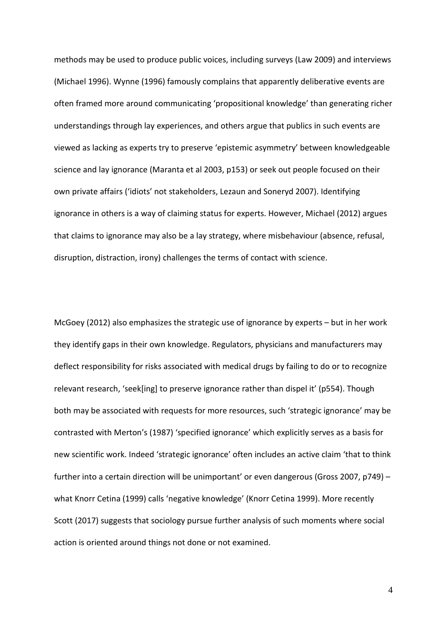methods may be used to produce public voices, including surveys (Law 2009) and interviews (Michael 1996). Wynne (1996) famously complains that apparently deliberative events are often framed more around communicating 'propositional knowledge' than generating richer understandings through lay experiences, and others argue that publics in such events are viewed as lacking as experts try to preserve 'epistemic asymmetry' between knowledgeable science and lay ignorance (Maranta et al 2003, p153) or seek out people focused on their own private affairs ('idiots' not stakeholders, Lezaun and Soneryd 2007). Identifying ignorance in others is a way of claiming status for experts. However, Michael (2012) argues that claims to ignorance may also be a lay strategy, where misbehaviour (absence, refusal, disruption, distraction, irony) challenges the terms of contact with science.

McGoey (2012) also emphasizes the strategic use of ignorance by experts – but in her work they identify gaps in their own knowledge. Regulators, physicians and manufacturers may deflect responsibility for risks associated with medical drugs by failing to do or to recognize relevant research, 'seek[ing] to preserve ignorance rather than dispel it' (p554). Though both may be associated with requests for more resources, such 'strategic ignorance' may be contrasted with Merton's (1987) 'specified ignorance' which explicitly serves as a basis for new scientific work. Indeed 'strategic ignorance' often includes an active claim 'that to think further into a certain direction will be unimportant' or even dangerous (Gross 2007, p749) – what Knorr Cetina (1999) calls 'negative knowledge' (Knorr Cetina 1999). More recently Scott (2017) suggests that sociology pursue further analysis of such moments where social action is oriented around things not done or not examined.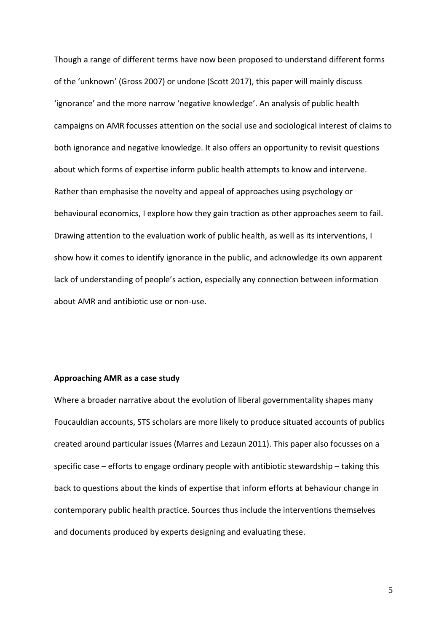Though a range of different terms have now been proposed to understand different forms of the 'unknown' (Gross 2007) or undone (Scott 2017), this paper will mainly discuss 'ignorance' and the more narrow 'negative knowledge'. An analysis of public health campaigns on AMR focusses attention on the social use and sociological interest of claims to both ignorance and negative knowledge. It also offers an opportunity to revisit questions about which forms of expertise inform public health attempts to know and intervene. Rather than emphasise the novelty and appeal of approaches using psychology or behavioural economics, I explore how they gain traction as other approaches seem to fail. Drawing attention to the evaluation work of public health, as well as its interventions, I show how it comes to identify ignorance in the public, and acknowledge its own apparent lack of understanding of people's action, especially any connection between information about AMR and antibiotic use or non-use.

#### **Approaching AMR as a case study**

Where a broader narrative about the evolution of liberal governmentality shapes many Foucauldian accounts, STS scholars are more likely to produce situated accounts of publics created around particular issues (Marres and Lezaun 2011). This paper also focusses on a specific case – efforts to engage ordinary people with antibiotic stewardship – taking this back to questions about the kinds of expertise that inform efforts at behaviour change in contemporary public health practice. Sources thus include the interventions themselves and documents produced by experts designing and evaluating these.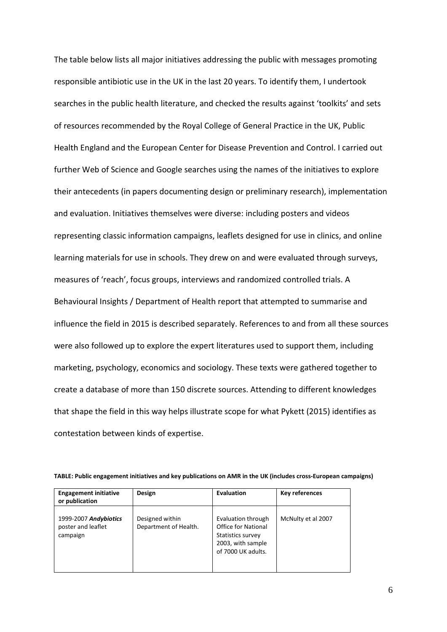The table below lists all major initiatives addressing the public with messages promoting responsible antibiotic use in the UK in the last 20 years. To identify them, I undertook searches in the public health literature, and checked the results against 'toolkits' and sets of resources recommended by the Royal College of General Practice in the UK, Public Health England and the European Center for Disease Prevention and Control. I carried out further Web of Science and Google searches using the names of the initiatives to explore their antecedents (in papers documenting design or preliminary research), implementation and evaluation. Initiatives themselves were diverse: including posters and videos representing classic information campaigns, leaflets designed for use in clinics, and online learning materials for use in schools. They drew on and were evaluated through surveys, measures of 'reach', focus groups, interviews and randomized controlled trials. A Behavioural Insights / Department of Health report that attempted to summarise and influence the field in 2015 is described separately. References to and from all these sources were also followed up to explore the expert literatures used to support them, including marketing, psychology, economics and sociology. These texts were gathered together to create a database of more than 150 discrete sources. Attending to different knowledges that shape the field in this way helps illustrate scope for what Pykett (2015) identifies as contestation between kinds of expertise.

| <b>Engagement initiative</b><br>or publication          | Design                                   | Evaluation                                                                                                       | Key references     |
|---------------------------------------------------------|------------------------------------------|------------------------------------------------------------------------------------------------------------------|--------------------|
| 1999-2007 Andybiotics<br>poster and leaflet<br>campaign | Designed within<br>Department of Health. | Evaluation through<br><b>Office for National</b><br>Statistics survey<br>2003, with sample<br>of 7000 UK adults. | McNulty et al 2007 |

**TABLE: Public engagement initiatives and key publications on AMR in the UK (includes cross-European campaigns)**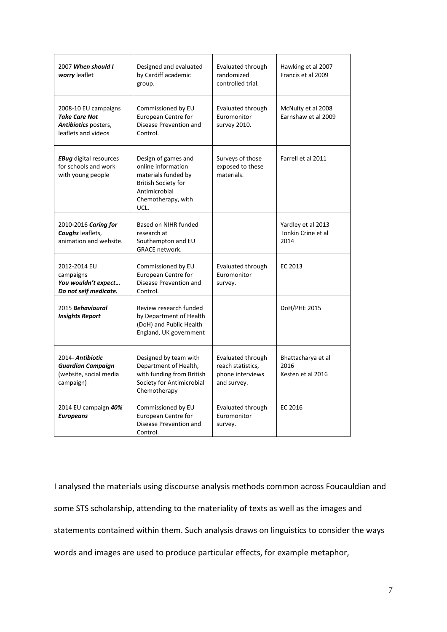| 2007 When should I<br>worry leaflet                                                                | Designed and evaluated<br>by Cardiff academic<br>group.                                                                                       | Evaluated through<br>randomized<br>controlled trial.                      | Hawking et al 2007<br>Francis et al 2009         |
|----------------------------------------------------------------------------------------------------|-----------------------------------------------------------------------------------------------------------------------------------------------|---------------------------------------------------------------------------|--------------------------------------------------|
| 2008-10 EU campaigns<br><b>Take Care Not</b><br><b>Antibiotics</b> posters,<br>leaflets and videos | Commissioned by EU<br>European Centre for<br>Disease Prevention and<br>Control.                                                               | Evaluated through<br>Euromonitor<br>survey 2010.                          | McNulty et al 2008<br>Earnshaw et al 2009        |
| <b>EBug</b> digital resources<br>for schools and work<br>with young people                         | Design of games and<br>online information<br>materials funded by<br><b>British Society for</b><br>Antimicrobial<br>Chemotherapy, with<br>UCL. | Surveys of those<br>exposed to these<br>materials.                        | Farrell et al 2011                               |
| 2010-2016 Caring for<br>Coughs leaflets,<br>animation and website.                                 | Based on NIHR funded<br>research at<br>Southampton and EU<br>GRACE network.                                                                   |                                                                           | Yardley et al 2013<br>Tonkin Crine et al<br>2014 |
| 2012-2014 EU<br>campaigns<br>You wouldn't expect<br>Do not self medicate.                          | Commissioned by EU<br>European Centre for<br>Disease Prevention and<br>Control.                                                               | Evaluated through<br>Euromonitor<br>survey.                               | EC 2013                                          |
| 2015 Behavioural<br><b>Insights Report</b>                                                         | Review research funded<br>by Department of Health<br>(DoH) and Public Health<br>England, UK government                                        |                                                                           | <b>DoH/PHE 2015</b>                              |
| 2014- Antibiotic<br><b>Guardian Campaign</b><br>(website, social media<br>campaign)                | Designed by team with<br>Department of Health,<br>with funding from British<br>Society for Antimicrobial<br>Chemotherapy                      | Evaluated through<br>reach statistics.<br>phone interviews<br>and survey. | Bhattacharya et al<br>2016<br>Kesten et al 2016  |
| 2014 EU campaign 40%<br><b>Europeans</b>                                                           | Commissioned by EU<br>European Centre for<br>Disease Prevention and<br>Control.                                                               | Evaluated through<br>Euromonitor<br>survey.                               | EC 2016                                          |

I analysed the materials using discourse analysis methods common across Foucauldian and some STS scholarship, attending to the materiality of texts as well as the images and statements contained within them. Such analysis draws on linguistics to consider the ways words and images are used to produce particular effects, for example metaphor,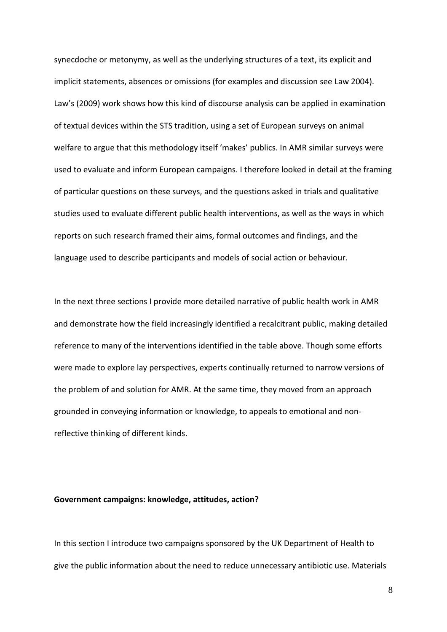synecdoche or metonymy, as well as the underlying structures of a text, its explicit and implicit statements, absences or omissions (for examples and discussion see Law 2004). Law's (2009) work shows how this kind of discourse analysis can be applied in examination of textual devices within the STS tradition, using a set of European surveys on animal welfare to argue that this methodology itself 'makes' publics. In AMR similar surveys were used to evaluate and inform European campaigns. I therefore looked in detail at the framing of particular questions on these surveys, and the questions asked in trials and qualitative studies used to evaluate different public health interventions, as well as the ways in which reports on such research framed their aims, formal outcomes and findings, and the language used to describe participants and models of social action or behaviour.

In the next three sections I provide more detailed narrative of public health work in AMR and demonstrate how the field increasingly identified a recalcitrant public, making detailed reference to many of the interventions identified in the table above. Though some efforts were made to explore lay perspectives, experts continually returned to narrow versions of the problem of and solution for AMR. At the same time, they moved from an approach grounded in conveying information or knowledge, to appeals to emotional and nonreflective thinking of different kinds.

## **Government campaigns: knowledge, attitudes, action?**

In this section I introduce two campaigns sponsored by the UK Department of Health to give the public information about the need to reduce unnecessary antibiotic use. Materials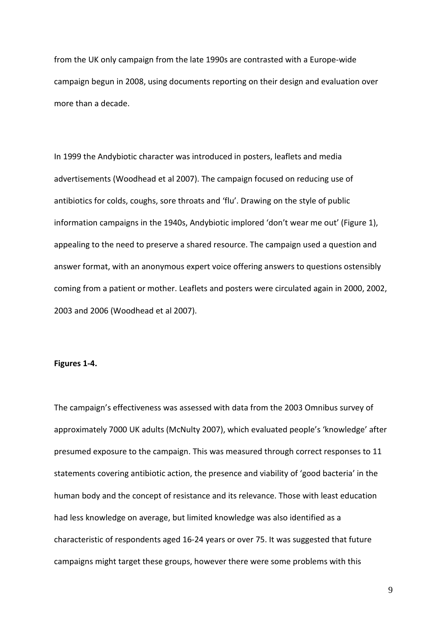from the UK only campaign from the late 1990s are contrasted with a Europe-wide campaign begun in 2008, using documents reporting on their design and evaluation over more than a decade.

In 1999 the Andybiotic character was introduced in posters, leaflets and media advertisements (Woodhead et al 2007). The campaign focused on reducing use of antibiotics for colds, coughs, sore throats and 'flu'. Drawing on the style of public information campaigns in the 1940s, Andybiotic implored 'don't wear me out' (Figure 1), appealing to the need to preserve a shared resource. The campaign used a question and answer format, with an anonymous expert voice offering answers to questions ostensibly coming from a patient or mother. Leaflets and posters were circulated again in 2000, 2002, 2003 and 2006 (Woodhead et al 2007).

#### **Figures 1-4.**

The campaign's effectiveness was assessed with data from the 2003 Omnibus survey of approximately 7000 UK adults (McNulty 2007), which evaluated people's 'knowledge' after presumed exposure to the campaign. This was measured through correct responses to 11 statements covering antibiotic action, the presence and viability of 'good bacteria' in the human body and the concept of resistance and its relevance. Those with least education had less knowledge on average, but limited knowledge was also identified as a characteristic of respondents aged 16-24 years or over 75. It was suggested that future campaigns might target these groups, however there were some problems with this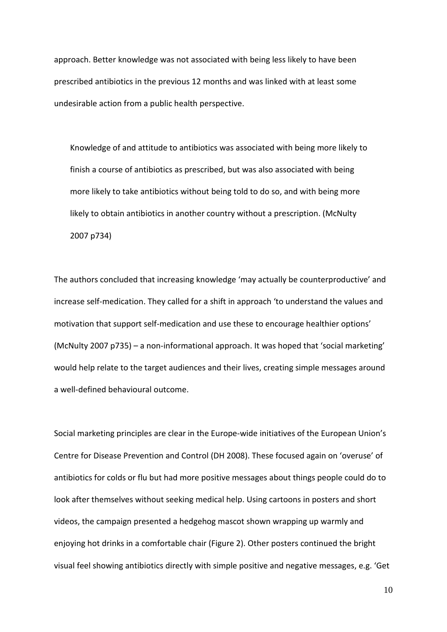approach. Better knowledge was not associated with being less likely to have been prescribed antibiotics in the previous 12 months and was linked with at least some undesirable action from a public health perspective.

Knowledge of and attitude to antibiotics was associated with being more likely to finish a course of antibiotics as prescribed, but was also associated with being more likely to take antibiotics without being told to do so, and with being more likely to obtain antibiotics in another country without a prescription. (McNulty 2007 p734)

The authors concluded that increasing knowledge 'may actually be counterproductive' and increase self-medication. They called for a shift in approach 'to understand the values and motivation that support self-medication and use these to encourage healthier options' (McNulty 2007 p735) – a non-informational approach. It was hoped that 'social marketing' would help relate to the target audiences and their lives, creating simple messages around a well-defined behavioural outcome.

Social marketing principles are clear in the Europe-wide initiatives of the European Union's Centre for Disease Prevention and Control (DH 2008). These focused again on 'overuse' of antibiotics for colds or flu but had more positive messages about things people could do to look after themselves without seeking medical help. Using cartoons in posters and short videos, the campaign presented a hedgehog mascot shown wrapping up warmly and enjoying hot drinks in a comfortable chair (Figure 2). Other posters continued the bright visual feel showing antibiotics directly with simple positive and negative messages, e.g. 'Get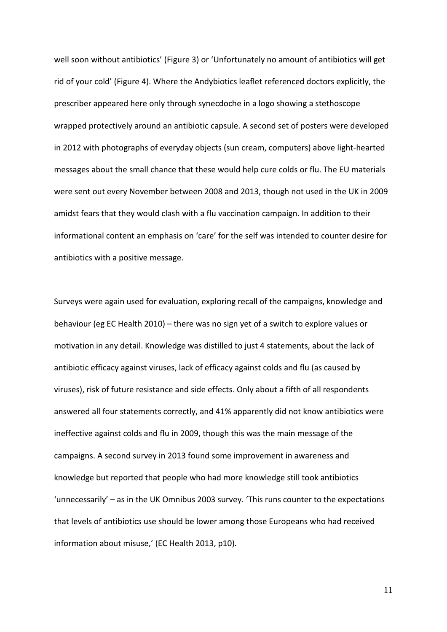well soon without antibiotics' (Figure 3) or 'Unfortunately no amount of antibiotics will get rid of your cold' (Figure 4). Where the Andybiotics leaflet referenced doctors explicitly, the prescriber appeared here only through synecdoche in a logo showing a stethoscope wrapped protectively around an antibiotic capsule. A second set of posters were developed in 2012 with photographs of everyday objects (sun cream, computers) above light-hearted messages about the small chance that these would help cure colds or flu. The EU materials were sent out every November between 2008 and 2013, though not used in the UK in 2009 amidst fears that they would clash with a flu vaccination campaign. In addition to their informational content an emphasis on 'care' for the self was intended to counter desire for antibiotics with a positive message.

Surveys were again used for evaluation, exploring recall of the campaigns, knowledge and behaviour (eg EC Health 2010) – there was no sign yet of a switch to explore values or motivation in any detail. Knowledge was distilled to just 4 statements, about the lack of antibiotic efficacy against viruses, lack of efficacy against colds and flu (as caused by viruses), risk of future resistance and side effects. Only about a fifth of all respondents answered all four statements correctly, and 41% apparently did not know antibiotics were ineffective against colds and flu in 2009, though this was the main message of the campaigns. A second survey in 2013 found some improvement in awareness and knowledge but reported that people who had more knowledge still took antibiotics 'unnecessarily' – as in the UK Omnibus 2003 survey. 'This runs counter to the expectations that levels of antibiotics use should be lower among those Europeans who had received information about misuse,' (EC Health 2013, p10).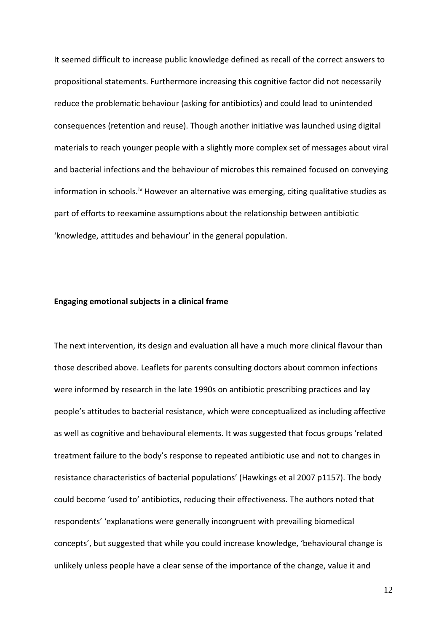It seemed difficult to increase public knowledge defined as recall of the correct answers to propositional statements. Furthermore increasing this cognitive factor did not necessarily reduce the problematic behaviour (asking for antibiotics) and could lead to unintended consequences (retention and reuse). Though another initiative was launched using digital materials to reach younger people with a slightly more complex set of messages about viral and bacterial infections and the behaviour of microbes this remained focused on conveying information in schools.<sup>[iv](#page-31-3)</sup> However an alternative was emerging, citing qualitative studies as part of efforts to reexamine assumptions about the relationship between antibiotic 'knowledge, attitudes and behaviour' in the general population.

## **Engaging emotional subjects in a clinical frame**

The next intervention, its design and evaluation all have a much more clinical flavour than those described above. Leaflets for parents consulting doctors about common infections were informed by research in the late 1990s on antibiotic prescribing practices and lay people's attitudes to bacterial resistance, which were conceptualized as including affective as well as cognitive and behavioural elements. It was suggested that focus groups 'related treatment failure to the body's response to repeated antibiotic use and not to changes in resistance characteristics of bacterial populations' (Hawkings et al 2007 p1157). The body could become 'used to' antibiotics, reducing their effectiveness. The authors noted that respondents' 'explanations were generally incongruent with prevailing biomedical concepts', but suggested that while you could increase knowledge, 'behavioural change is unlikely unless people have a clear sense of the importance of the change, value it and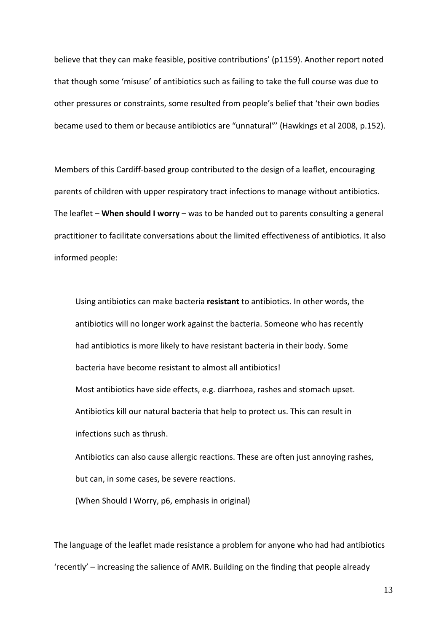believe that they can make feasible, positive contributions' (p1159). Another report noted that though some 'misuse' of antibiotics such as failing to take the full course was due to other pressures or constraints, some resulted from people's belief that 'their own bodies became used to them or because antibiotics are "unnatural"' (Hawkings et al 2008, p.152).

Members of this Cardiff-based group contributed to the design of a leaflet, encouraging parents of children with upper respiratory tract infections to manage without antibiotics. The leaflet – **When should I worry** – was to be handed out to parents consulting a general practitioner to facilitate conversations about the limited effectiveness of antibiotics. It also informed people:

Using antibiotics can make bacteria **resistant** to antibiotics. In other words, the antibiotics will no longer work against the bacteria. Someone who has recently had antibiotics is more likely to have resistant bacteria in their body. Some bacteria have become resistant to almost all antibiotics!

Most antibiotics have side effects, e.g. diarrhoea, rashes and stomach upset. Antibiotics kill our natural bacteria that help to protect us. This can result in infections such as thrush.

Antibiotics can also cause allergic reactions. These are often just annoying rashes, but can, in some cases, be severe reactions.

(When Should I Worry, p6, emphasis in original)

The language of the leaflet made resistance a problem for anyone who had had antibiotics 'recently' – increasing the salience of AMR. Building on the finding that people already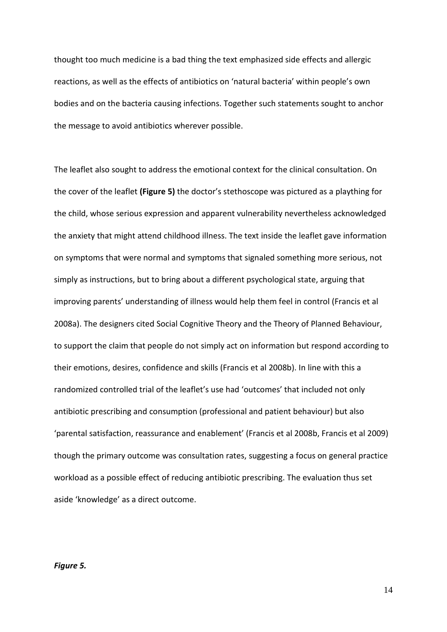thought too much medicine is a bad thing the text emphasized side effects and allergic reactions, as well as the effects of antibiotics on 'natural bacteria' within people's own bodies and on the bacteria causing infections. Together such statements sought to anchor the message to avoid antibiotics wherever possible.

The leaflet also sought to address the emotional context for the clinical consultation. On the cover of the leaflet **(Figure 5)** the doctor's stethoscope was pictured as a plaything for the child, whose serious expression and apparent vulnerability nevertheless acknowledged the anxiety that might attend childhood illness. The text inside the leaflet gave information on symptoms that were normal and symptoms that signaled something more serious, not simply as instructions, but to bring about a different psychological state, arguing that improving parents' understanding of illness would help them feel in control (Francis et al 2008a). The designers cited Social Cognitive Theory and the Theory of Planned Behaviour, to support the claim that people do not simply act on information but respond according to their emotions, desires, confidence and skills (Francis et al 2008b). In line with this a randomized controlled trial of the leaflet's use had 'outcomes' that included not only antibiotic prescribing and consumption (professional and patient behaviour) but also 'parental satisfaction, reassurance and enablement' (Francis et al 2008b, Francis et al 2009) though the primary outcome was consultation rates, suggesting a focus on general practice workload as a possible effect of reducing antibiotic prescribing. The evaluation thus set aside 'knowledge' as a direct outcome.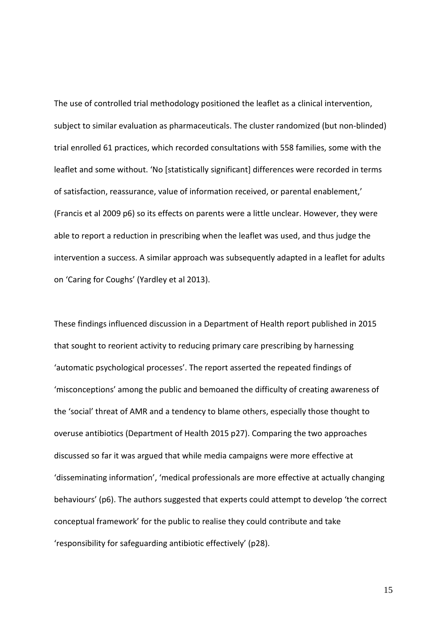The use of controlled trial methodology positioned the leaflet as a clinical intervention, subject to similar evaluation as pharmaceuticals. The cluster randomized (but non-blinded) trial enrolled 61 practices, which recorded consultations with 558 families, some with the leaflet and some without. 'No [statistically significant] differences were recorded in terms of satisfaction, reassurance, value of information received, or parental enablement,' (Francis et al 2009 p6) so its effects on parents were a little unclear. However, they were able to report a reduction in prescribing when the leaflet was used, and thus judge the intervention a success. A similar approach was subsequently adapted in a leaflet for adults on 'Caring for Coughs' (Yardley et al 2013).

These findings influenced discussion in a Department of Health report published in 2015 that sought to reorient activity to reducing primary care prescribing by harnessing 'automatic psychological processes'. The report asserted the repeated findings of 'misconceptions' among the public and bemoaned the difficulty of creating awareness of the 'social' threat of AMR and a tendency to blame others, especially those thought to overuse antibiotics (Department of Health 2015 p27). Comparing the two approaches discussed so far it was argued that while media campaigns were more effective at 'disseminating information', 'medical professionals are more effective at actually changing behaviours' (p6). The authors suggested that experts could attempt to develop 'the correct conceptual framework' for the public to realise they could contribute and take 'responsibility for safeguarding antibiotic effectively' (p28).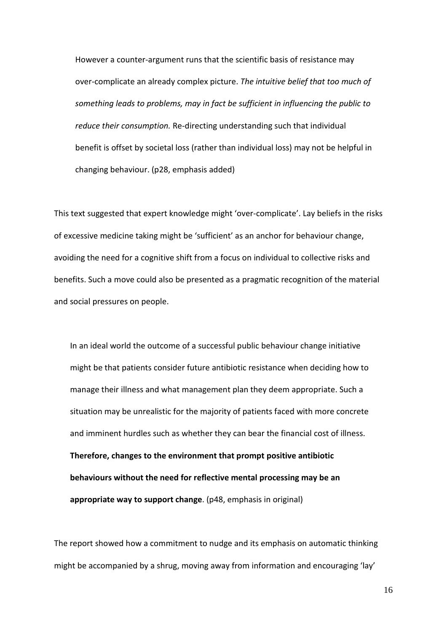However a counter-argument runs that the scientific basis of resistance may over-complicate an already complex picture. *The intuitive belief that too much of something leads to problems, may in fact be sufficient in influencing the public to reduce their consumption.* Re-directing understanding such that individual benefit is offset by societal loss (rather than individual loss) may not be helpful in changing behaviour. (p28, emphasis added)

This text suggested that expert knowledge might 'over-complicate'. Lay beliefs in the risks of excessive medicine taking might be 'sufficient' as an anchor for behaviour change, avoiding the need for a cognitive shift from a focus on individual to collective risks and benefits. Such a move could also be presented as a pragmatic recognition of the material and social pressures on people.

In an ideal world the outcome of a successful public behaviour change initiative might be that patients consider future antibiotic resistance when deciding how to manage their illness and what management plan they deem appropriate. Such a situation may be unrealistic for the majority of patients faced with more concrete and imminent hurdles such as whether they can bear the financial cost of illness. **Therefore, changes to the environment that prompt positive antibiotic behaviours without the need for reflective mental processing may be an appropriate way to support change**. (p48, emphasis in original)

The report showed how a commitment to nudge and its emphasis on automatic thinking might be accompanied by a shrug, moving away from information and encouraging 'lay'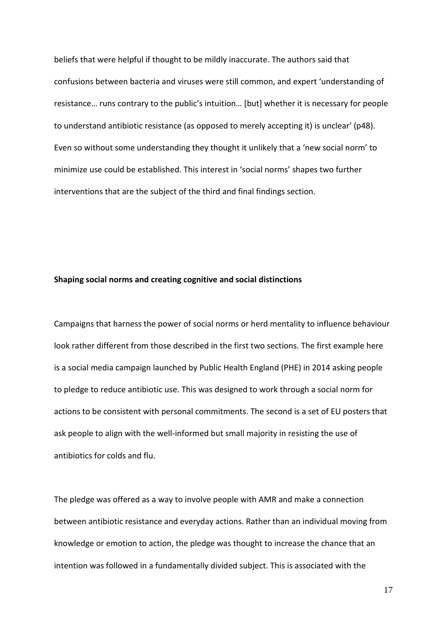beliefs that were helpful if thought to be mildly inaccurate. The authors said that confusions between bacteria and viruses were still common, and expert 'understanding of resistance… runs contrary to the public's intuition… [but] whether it is necessary for people to understand antibiotic resistance (as opposed to merely accepting it) is unclear' (p48). Even so without some understanding they thought it unlikely that a 'new social norm' to minimize use could be established. This interest in 'social norms' shapes two further interventions that are the subject of the third and final findings section.

#### **Shaping social norms and creating cognitive and social distinctions**

Campaigns that harness the power of social norms or herd mentality to influence behaviour look rather different from those described in the first two sections. The first example here is a social media campaign launched by Public Health England (PHE) in 2014 asking people to pledge to reduce antibiotic use. This was designed to work through a social norm for actions to be consistent with personal commitments. The second is a set of EU posters that ask people to align with the well-informed but small majority in resisting the use of antibiotics for colds and flu.

The pledge was offered as a way to involve people with AMR and make a connection between antibiotic resistance and everyday actions. Rather than an individual moving from knowledge or emotion to action, the pledge was thought to increase the chance that an intention was followed in a fundamentally divided subject. This is associated with the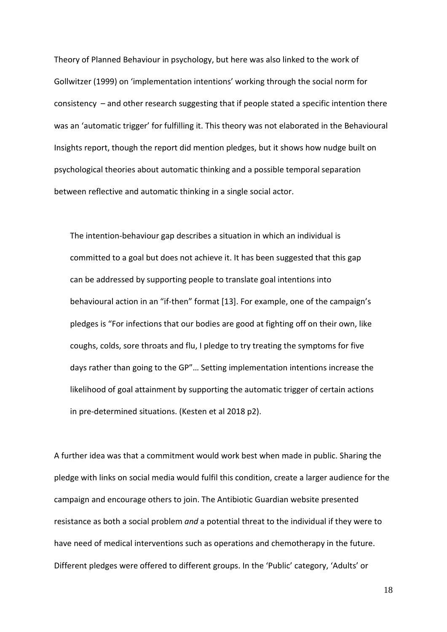Theory of Planned Behaviour in psychology, but here was also linked to the work of Gollwitzer (1999) on 'implementation intentions' working through the social norm for consistency – and other research suggesting that if people stated a specific intention there was an 'automatic trigger' for fulfilling it. This theory was not elaborated in the Behavioural Insights report, though the report did mention pledges, but it shows how nudge built on psychological theories about automatic thinking and a possible temporal separation between reflective and automatic thinking in a single social actor.

The intention-behaviour gap describes a situation in which an individual is committed to a goal but does not achieve it. It has been suggested that this gap can be addressed by supporting people to translate goal intentions into behavioural action in an "if-then" format [13]. For example, one of the campaign's pledges is "For infections that our bodies are good at fighting off on their own, like coughs, colds, sore throats and flu, I pledge to try treating the symptoms for five days rather than going to the GP"… Setting implementation intentions increase the likelihood of goal attainment by supporting the automatic trigger of certain actions in pre-determined situations. (Kesten et al 2018 p2).

A further idea was that a commitment would work best when made in public. Sharing the pledge with links on social media would fulfil this condition, create a larger audience for the campaign and encourage others to join. The Antibiotic Guardian website presented resistance as both a social problem *and* a potential threat to the individual if they were to have need of medical interventions such as operations and chemotherapy in the future. Different pledges were offered to different groups. In the 'Public' category, 'Adults' or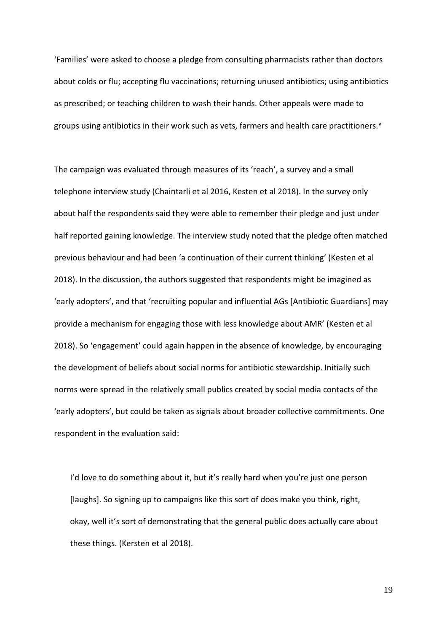'Families' were asked to choose a pledge from consulting pharmacists rather than doctors about colds or flu; accepting flu vaccinations; returning unused antibiotics; using antibiotics as prescribed; or teaching children to wash their hands. Other appeals were made to groups using antibiotics in their work such as [v](#page-31-4)ets, farmers and health care practitioners. $v$ 

The campaign was evaluated through measures of its 'reach', a survey and a small telephone interview study (Chaintarli et al 2016, Kesten et al 2018). In the survey only about half the respondents said they were able to remember their pledge and just under half reported gaining knowledge. The interview study noted that the pledge often matched previous behaviour and had been 'a continuation of their current thinking' (Kesten et al 2018). In the discussion, the authors suggested that respondents might be imagined as 'early adopters', and that 'recruiting popular and influential AGs [Antibiotic Guardians] may provide a mechanism for engaging those with less knowledge about AMR' (Kesten et al 2018). So 'engagement' could again happen in the absence of knowledge, by encouraging the development of beliefs about social norms for antibiotic stewardship. Initially such norms were spread in the relatively small publics created by social media contacts of the 'early adopters', but could be taken as signals about broader collective commitments. One respondent in the evaluation said:

I'd love to do something about it, but it's really hard when you're just one person [laughs]. So signing up to campaigns like this sort of does make you think, right, okay, well it's sort of demonstrating that the general public does actually care about these things. (Kersten et al 2018).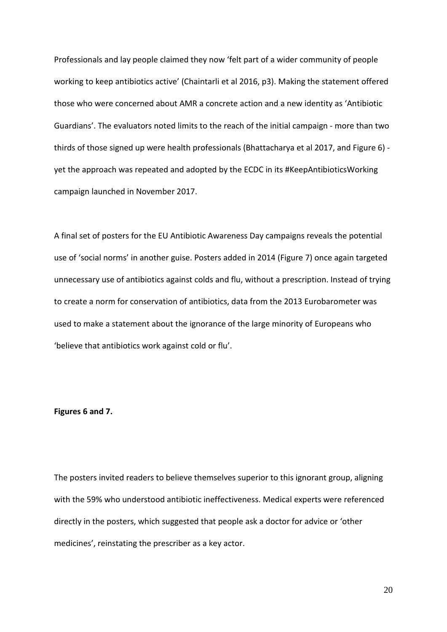Professionals and lay people claimed they now 'felt part of a wider community of people working to keep antibiotics active' (Chaintarli et al 2016, p3). Making the statement offered those who were concerned about AMR a concrete action and a new identity as 'Antibiotic Guardians'. The evaluators noted limits to the reach of the initial campaign - more than two thirds of those signed up were health professionals (Bhattacharya et al 2017, and Figure 6) yet the approach was repeated and adopted by the ECDC in its #KeepAntibioticsWorking campaign launched in November 2017.

A final set of posters for the EU Antibiotic Awareness Day campaigns reveals the potential use of 'social norms' in another guise. Posters added in 2014 (Figure 7) once again targeted unnecessary use of antibiotics against colds and flu, without a prescription. Instead of trying to create a norm for conservation of antibiotics, data from the 2013 Eurobarometer was used to make a statement about the ignorance of the large minority of Europeans who 'believe that antibiotics work against cold or flu'.

#### **Figures 6 and 7.**

The posters invited readers to believe themselves superior to this ignorant group, aligning with the 59% who understood antibiotic ineffectiveness. Medical experts were referenced directly in the posters, which suggested that people ask a doctor for advice or 'other medicines', reinstating the prescriber as a key actor.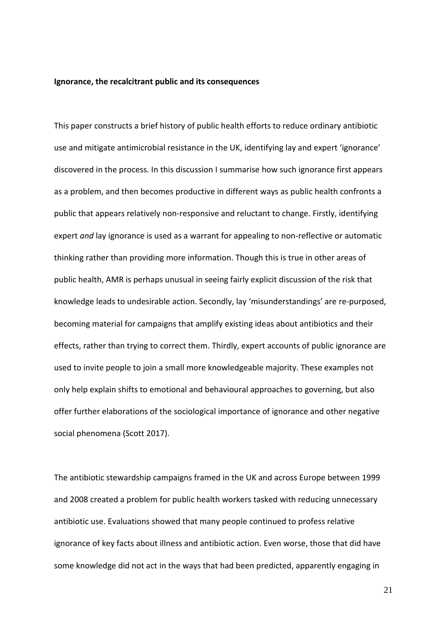#### **Ignorance, the recalcitrant public and its consequences**

This paper constructs a brief history of public health efforts to reduce ordinary antibiotic use and mitigate antimicrobial resistance in the UK, identifying lay and expert 'ignorance' discovered in the process. In this discussion I summarise how such ignorance first appears as a problem, and then becomes productive in different ways as public health confronts a public that appears relatively non-responsive and reluctant to change. Firstly, identifying expert *and* lay ignorance is used as a warrant for appealing to non-reflective or automatic thinking rather than providing more information. Though this is true in other areas of public health, AMR is perhaps unusual in seeing fairly explicit discussion of the risk that knowledge leads to undesirable action. Secondly, lay 'misunderstandings' are re-purposed, becoming material for campaigns that amplify existing ideas about antibiotics and their effects, rather than trying to correct them. Thirdly, expert accounts of public ignorance are used to invite people to join a small more knowledgeable majority. These examples not only help explain shifts to emotional and behavioural approaches to governing, but also offer further elaborations of the sociological importance of ignorance and other negative social phenomena (Scott 2017).

The antibiotic stewardship campaigns framed in the UK and across Europe between 1999 and 2008 created a problem for public health workers tasked with reducing unnecessary antibiotic use. Evaluations showed that many people continued to profess relative ignorance of key facts about illness and antibiotic action. Even worse, those that did have some knowledge did not act in the ways that had been predicted, apparently engaging in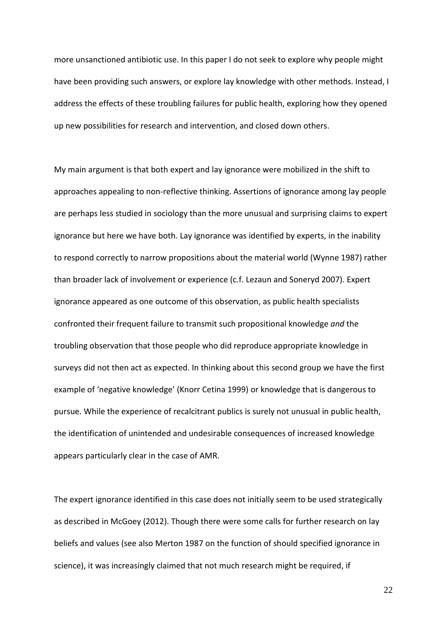more unsanctioned antibiotic use. In this paper I do not seek to explore why people might have been providing such answers, or explore lay knowledge with other methods. Instead, I address the effects of these troubling failures for public health, exploring how they opened up new possibilities for research and intervention, and closed down others.

My main argument is that both expert and lay ignorance were mobilized in the shift to approaches appealing to non-reflective thinking. Assertions of ignorance among lay people are perhaps less studied in sociology than the more unusual and surprising claims to expert ignorance but here we have both. Lay ignorance was identified by experts, in the inability to respond correctly to narrow propositions about the material world (Wynne 1987) rather than broader lack of involvement or experience (c.f. Lezaun and Soneryd 2007). Expert ignorance appeared as one outcome of this observation, as public health specialists confronted their frequent failure to transmit such propositional knowledge *and* the troubling observation that those people who did reproduce appropriate knowledge in surveys did not then act as expected. In thinking about this second group we have the first example of 'negative knowledge' (Knorr Cetina 1999) or knowledge that is dangerous to pursue. While the experience of recalcitrant publics is surely not unusual in public health, the identification of unintended and undesirable consequences of increased knowledge appears particularly clear in the case of AMR.

The expert ignorance identified in this case does not initially seem to be used strategically as described in McGoey (2012). Though there were some calls for further research on lay beliefs and values (see also Merton 1987 on the function of should specified ignorance in science), it was increasingly claimed that not much research might be required, if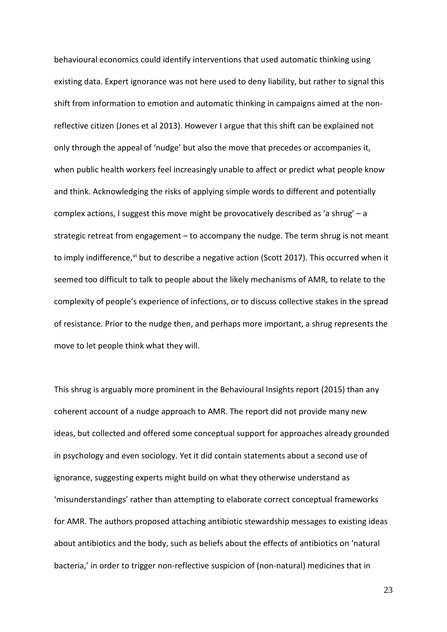behavioural economics could identify interventions that used automatic thinking using existing data. Expert ignorance was not here used to deny liability, but rather to signal this shift from information to emotion and automatic thinking in campaigns aimed at the nonreflective citizen (Jones et al 2013). However I argue that this shift can be explained not only through the appeal of 'nudge' but also the move that precedes or accompanies it, when public health workers feel increasingly unable to affect or predict what people know and think. Acknowledging the risks of applying simple words to different and potentially complex actions, I suggest this move might be provocatively described as 'a shrug' – a strategic retreat from engagement – to accompany the nudge. The term shrug is not meant to imply indifference, [vi](#page-31-5) but to describe a negative action (Scott 2017). This occurred when it seemed too difficult to talk to people about the likely mechanisms of AMR, to relate to the complexity of people's experience of infections, or to discuss collective stakes in the spread of resistance. Prior to the nudge then, and perhaps more important, a shrug represents the move to let people think what they will.

This shrug is arguably more prominent in the Behavioural Insights report (2015) than any coherent account of a nudge approach to AMR. The report did not provide many new ideas, but collected and offered some conceptual support for approaches already grounded in psychology and even sociology. Yet it did contain statements about a second use of ignorance, suggesting experts might build on what they otherwise understand as 'misunderstandings' rather than attempting to elaborate correct conceptual frameworks for AMR. The authors proposed attaching antibiotic stewardship messages to existing ideas about antibiotics and the body, such as beliefs about the effects of antibiotics on 'natural bacteria,' in order to trigger non-reflective suspicion of (non-natural) medicines that in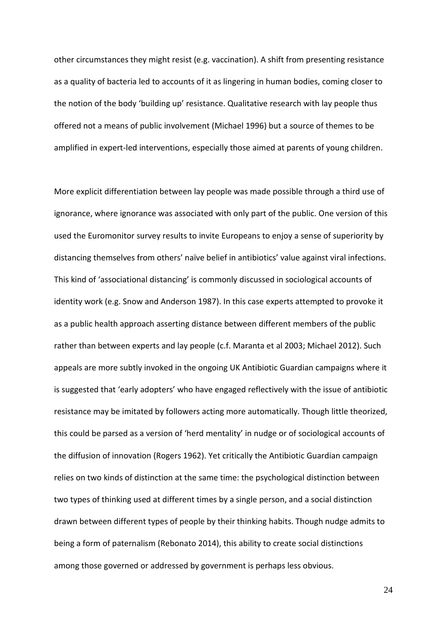other circumstances they might resist (e.g. vaccination). A shift from presenting resistance as a quality of bacteria led to accounts of it as lingering in human bodies, coming closer to the notion of the body 'building up' resistance. Qualitative research with lay people thus offered not a means of public involvement (Michael 1996) but a source of themes to be amplified in expert-led interventions, especially those aimed at parents of young children.

More explicit differentiation between lay people was made possible through a third use of ignorance, where ignorance was associated with only part of the public. One version of this used the Euromonitor survey results to invite Europeans to enjoy a sense of superiority by distancing themselves from others' naïve belief in antibiotics' value against viral infections. This kind of 'associational distancing' is commonly discussed in sociological accounts of identity work (e.g. Snow and Anderson 1987). In this case experts attempted to provoke it as a public health approach asserting distance between different members of the public rather than between experts and lay people (c.f. Maranta et al 2003; Michael 2012). Such appeals are more subtly invoked in the ongoing UK Antibiotic Guardian campaigns where it is suggested that 'early adopters' who have engaged reflectively with the issue of antibiotic resistance may be imitated by followers acting more automatically. Though little theorized, this could be parsed as a version of 'herd mentality' in nudge or of sociological accounts of the diffusion of innovation (Rogers 1962). Yet critically the Antibiotic Guardian campaign relies on two kinds of distinction at the same time: the psychological distinction between two types of thinking used at different times by a single person, and a social distinction drawn between different types of people by their thinking habits. Though nudge admits to being a form of paternalism (Rebonato 2014), this ability to create social distinctions among those governed or addressed by government is perhaps less obvious.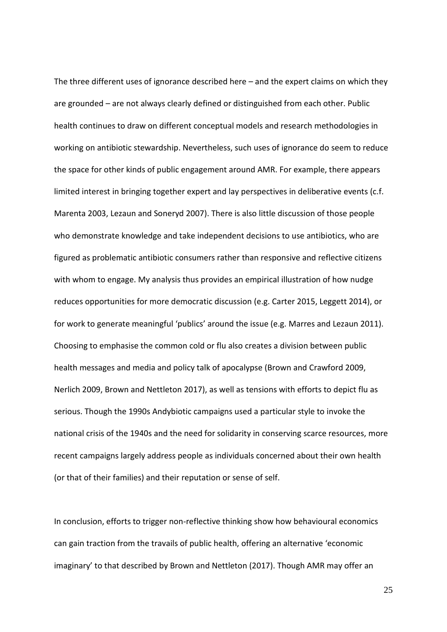The three different uses of ignorance described here – and the expert claims on which they are grounded – are not always clearly defined or distinguished from each other. Public health continues to draw on different conceptual models and research methodologies in working on antibiotic stewardship. Nevertheless, such uses of ignorance do seem to reduce the space for other kinds of public engagement around AMR. For example, there appears limited interest in bringing together expert and lay perspectives in deliberative events (c.f. Marenta 2003, Lezaun and Soneryd 2007). There is also little discussion of those people who demonstrate knowledge and take independent decisions to use antibiotics, who are figured as problematic antibiotic consumers rather than responsive and reflective citizens with whom to engage. My analysis thus provides an empirical illustration of how nudge reduces opportunities for more democratic discussion (e.g. Carter 2015, Leggett 2014), or for work to generate meaningful 'publics' around the issue (e.g. Marres and Lezaun 2011). Choosing to emphasise the common cold or flu also creates a division between public health messages and media and policy talk of apocalypse (Brown and Crawford 2009, Nerlich 2009, Brown and Nettleton 2017), as well as tensions with efforts to depict flu as serious. Though the 1990s Andybiotic campaigns used a particular style to invoke the national crisis of the 1940s and the need for solidarity in conserving scarce resources, more recent campaigns largely address people as individuals concerned about their own health (or that of their families) and their reputation or sense of self.

In conclusion, efforts to trigger non-reflective thinking show how behavioural economics can gain traction from the travails of public health, offering an alternative 'economic imaginary' to that described by Brown and Nettleton (2017). Though AMR may offer an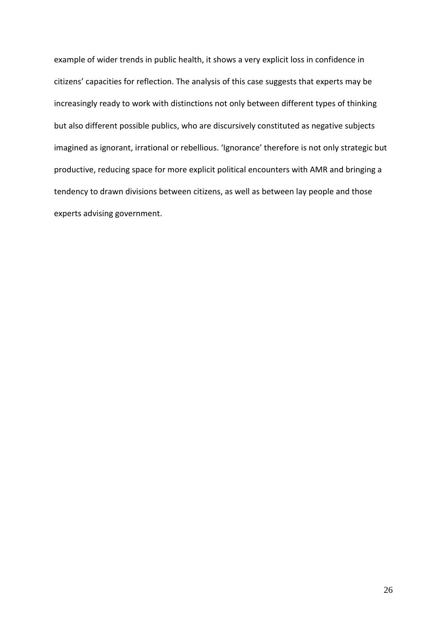example of wider trends in public health, it shows a very explicit loss in confidence in citizens' capacities for reflection. The analysis of this case suggests that experts may be increasingly ready to work with distinctions not only between different types of thinking but also different possible publics, who are discursively constituted as negative subjects imagined as ignorant, irrational or rebellious. 'Ignorance' therefore is not only strategic but productive, reducing space for more explicit political encounters with AMR and bringing a tendency to drawn divisions between citizens, as well as between lay people and those experts advising government.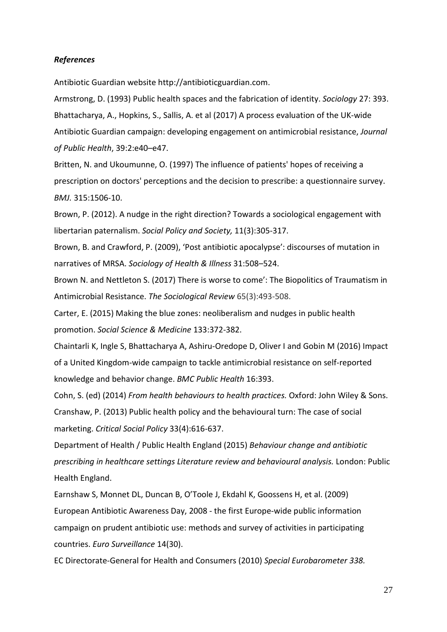# *References*

Antibiotic Guardian website [http://antibioticguardian.com.](http://antibioticguardian.com/)

Armstrong, D. (1993) Public health spaces and the fabrication of identity. *Sociology* 27: 393. Bhattacharya, A., Hopkins, S., Sallis, A. et al (2017) A process evaluation of the UK-wide Antibiotic Guardian campaign: developing engagement on antimicrobial resistance, *Journal of Public Health*, 39:2:e40–e47.

[Britten, N.](http://www.ncbi.nlm.nih.gov/pubmed/?term=Britten%20N%5BAuthor%5D&cauthor=true&cauthor_uid=9420493) and Ukoumunne, O. (1997) The influence of patients' hopes of receiving a prescription on doctors' perceptions and the decision to prescribe: a questionnaire survey. *BMJ.* 315:1506-10.

Brown, P. (2012). A nudge in the right direction? Towards a sociological engagement with libertarian paternalism. *Social Policy and Society,* 11(3):305-317.

Brown, B. and Crawford, P. (2009), 'Post antibiotic apocalypse': discourses of mutation in narratives of MRSA. *Sociology of Health & Illness* 31:508–524.

Brown N. and Nettleton S. (2017) There is worse to come': The Biopolitics of Traumatism in Antimicrobial Resistance. *The Sociological Review* 65(3):493-508.

Carter, E. (2015) Making the blue zones: neoliberalism and nudges in public health promotion. *Social Science & Medicine* 133:372-382.

Chaintarli K, Ingle S, Bhattacharya A, Ashiru-Oredope D, Oliver I and Gobin M (2016) Impact of a United Kingdom-wide campaign to tackle antimicrobial resistance on self-reported knowledge and behavior change. *BMC Public Health* 16:393.

Cohn, S. (ed) (2014) *From health behaviours to health practices.* Oxford: John Wiley & Sons. Cranshaw, P. (2013) Public health policy and the behavioural turn: The case of social marketing. *Critical Social Policy* 33(4):616-637.

Department of Health / Public Health England (2015) *Behaviour change and antibiotic prescribing in healthcare settings Literature review and behavioural analysis.* London: Public Health England.

Earnshaw S, Monnet DL, Duncan B, O'Toole J, Ekdahl K, Goossens H, et al. (2009) European Antibiotic Awareness Day, 2008 - the first Europe-wide public information campaign on prudent antibiotic use: methods and survey of activities in participating countries. *Euro Surveillance* 14(30).

EC Directorate-General for Health and Consumers (2010) *Special Eurobarometer 338.*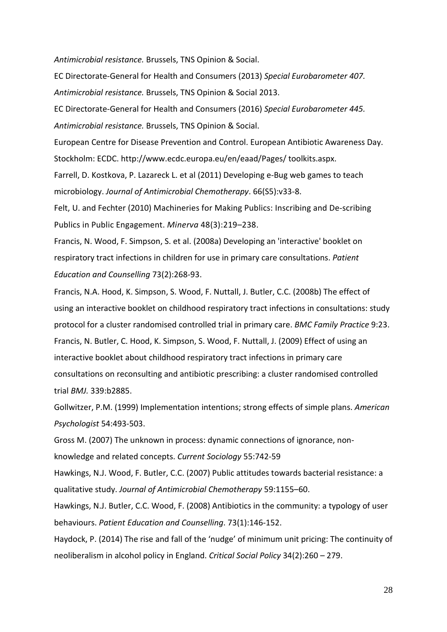*Antimicrobial resistance.* Brussels, TNS Opinion & Social.

EC Directorate-General for Health and Consumers (2013) *Special Eurobarometer 407. Antimicrobial resistance.* Brussels, TNS Opinion & Social 2013.

EC Directorate-General for Health and Consumers (2016) *Special Eurobarometer 445. Antimicrobial resistance.* Brussels, TNS Opinion & Social.

European Centre for Disease Prevention and Control. European Antibiotic Awareness Day. Stockholm: ECDC. http://www.ecdc.europa.eu/en/eaad/Pages/ toolkits.aspx.

Farrell, D. Kostkova, P. Lazareck L. et al (2011) Developing e-Bug web games to teach microbiology. *Journal of Antimicrobial Chemotherapy*. 66(S5):v33-8.

Felt, U. and Fechter (2010) Machineries for Making Publics: Inscribing and De-scribing Publics in Public Engagement. *Minerva* 48[\(3\)](https://link.springer.com/journal/11024/48/3/page/1):219–238.

Francis, N. Wood, F. Simpson, S. et al. (2008a) Developing an 'interactive' booklet on respiratory tract infections in children for use in primary care consultations. *Patient Education and Counselling* 73(2):268-93.

Francis, N.A. Hood, K. Simpson, S. Wood, F. Nuttall, J. Butler, C.C. (2008b) The effect of using an interactive booklet on childhood respiratory tract infections in consultations: study protocol for a cluster randomised controlled trial in primary care. *BMC Family Practice* 9:23. Francis, N. Butler, C. Hood, K. Simpson, S. Wood, F. Nuttall, J. (2009) [Effect of using an](http://www.ncbi.nlm.nih.gov/pmc/articles/PMC2718088/)  interactive booklet about [childhood respiratory tract infections in primary care](http://www.ncbi.nlm.nih.gov/pmc/articles/PMC2718088/)  [consultations on reconsulting and antibiotic prescribing: a cluster randomised controlled](http://www.ncbi.nlm.nih.gov/pmc/articles/PMC2718088/)  [trial](http://www.ncbi.nlm.nih.gov/pmc/articles/PMC2718088/) *BMJ.* 339:b2885.

Gollwitzer, P.M. (1999) Implementation intentions; strong effects of simple plans. *American Psychologist* 54:493-503.

Gross M. (2007) The unknown in process: dynamic connections of ignorance, nonknowledge and related concepts. *Current Sociology* 55:742-59

Hawkings, N.J. Wood, F. Butler, C.C. (2007) Public attitudes towards bacterial resistance: a qualitative study. *Journal of Antimicrobial Chemotherapy* 59:1155–60.

Hawkings, N.J. Butler, C.C. Wood, F. (2008) Antibiotics in the community: a typology of user behaviours. *Patient Education and Counselling*. 73(1):146-152.

Haydock, P. (2014) The rise and fall of the 'nudge' of minimum unit pricing: The continuity of neoliberalism in alcohol policy in England. *Critical Social Policy* 34(2):260 – 279.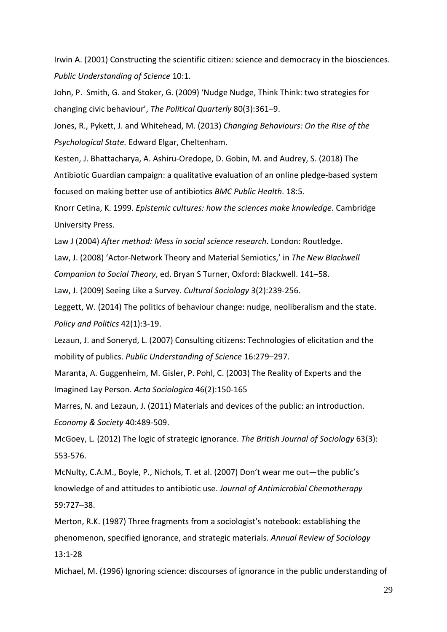Irwin A. (2001) Constructing the scientific citizen: science and democracy in the biosciences. *Public Understanding of Science* 10:1.

John, P. Smith, G. and Stoker, G. (2009) 'Nudge Nudge, Think Think: two strategies for changing civic behaviour', *The Political Quarterly* 80(3):361–9.

Jones, R., Pykett, J. and Whitehead, M. (2013) *Changing Behaviours: On the Rise of the Psychological State.* Edward Elgar, Cheltenham.

Kesten, J. Bhattacharya, A. Ashiru-Oredope, D. Gobin, M. and Audrey, S. (2018) The Antibiotic Guardian campaign: a qualitative evaluation of an online pledge-based system focused on making better use of antibiotics *BMC Public Health*. 18:5.

Knorr Cetina, K. 1999. *Epistemic cultures: how the sciences make knowledge*. Cambridge University Press.

Law J (2004) *After method: Mess in social science research*. London: Routledge.

Law, J. (2008) 'Actor-Network Theory and Material Semiotics,' in *The New Blackwell* 

*Companion to Social Theory*, ed. Bryan S Turner, Oxford: Blackwell. 141–58.

Law, J. (2009) Seeing Like a Survey. *Cultural Sociology* 3(2):239-256.

Leggett, W. (2014) The politics of behaviour change: nudge, neoliberalism and the state. *Policy and Politics* 42(1):3-19.

Lezaun, J. and Soneryd, L. (2007) Consulting citizens: Technologies of elicitation and the mobility of publics. *Public Understanding of Science* 16:279–297.

Maranta, A. Guggenheim, M. Gisler, P. Pohl, C. (2003) The Reality of Experts and the Imagined Lay Person. *Acta Sociologica* 46(2):150-165

Marres, N. and Lezaun, J. (2011) Materials and devices of the public: an introduction. *Economy & Society* 40:489-509.

McGoey, L. (2012) The logic of strategic ignorance. *The British Journal of Sociology* 63(3): 553-576.

McNulty, C.A.M., Boyle, P., Nichols, T. et al. (2007) Don't wear me out—the public's knowledge of and attitudes to antibiotic use. *Journal of Antimicrobial Chemotherapy* 59:727–38.

Merton, R.K. (1987) Three fragments from a sociologist's notebook: establishing the phenomenon, specified ignorance, and strategic materials. *Annual Review of Sociology* 13:1-28

Michael, M. (1996) Ignoring science: discourses of ignorance in the public understanding of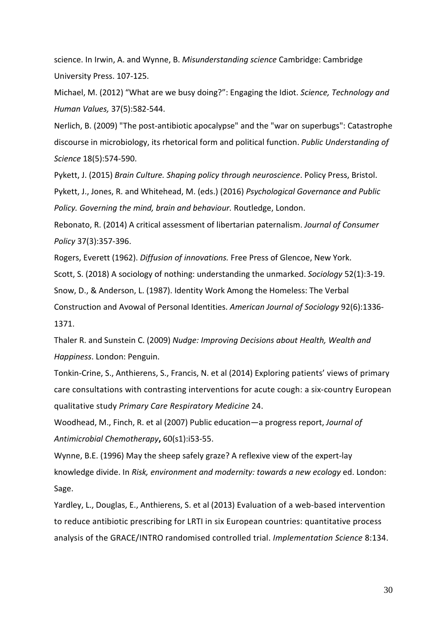science. In Irwin, A. and Wynne, B. *Misunderstanding science* Cambridge: Cambridge University Press. 107-125.

Michael, M. (2012) ["What are we busy doing?": Engaging the Idiot.](http://research.gold.ac.uk/6113/) *Science, Technology and [Human Values,](http://research.gold.ac.uk/6113/)* 37(5):582-544.

Nerlich, B. (2009) ["The post-antibiotic apocalypse" and the "war on superbugs": Catastrophe](http://dx.doi.org/http:/dx.doi.org/10.1177/0963662508087974)  [discourse in microbiology, its rhetorical form and political function.](http://dx.doi.org/http:/dx.doi.org/10.1177/0963662508087974) *Public Understanding of Science* 18(5):574-590.

Pykett, J. (2015) *Brain Culture. Shaping policy through neuroscience*. Policy Press, Bristol. Pykett, J., Jones, R. and Whitehead, M. (eds.) (2016) *Psychological Governance and Public Policy. Governing the mind, brain and behaviour.* Routledge, London.

Rebonato, R. (2014) A critical assessment of libertarian paternalism. *Journal of Consumer Policy* 37(3):357-396.

Rogers, Everett (1962). *Diffusion of innovations.* Free Press of Glencoe, New York.

Scott, S. (2018) A sociology of nothing: understanding the unmarked. *Sociology* 52(1):3-19.

Snow, D., & Anderson, L. (1987). Identity Work Among the Homeless: The Verbal

Construction and Avowal of Personal Identities. *American Journal of Sociology* 92(6):1336- 1371.

Thaler R. and Sunstein C. (2009) *Nudge: Improving Decisions about Health, Wealth and Happiness*. London: Penguin.

Tonkin-Crine, S., Anthierens, S., Francis, N. et al (2014) Exploring patients' views of primary care consultations with contrasting interventions for acute cough: a six-country European qualitative study *Primary Care Respiratory Medicine* 24.

Woodhead, M., Finch, R. et al (2007) Public education—a progress report, *Journal of Antimicrobial Chemotherapy***,** 60(s1):i53-55.

Wynne, B.E. (1996) May the sheep safely graze? A reflexive view of the [expert-lay](http://www.research.lancs.ac.uk/portal/en/publications/may-the-sheep-safely-graze-a-reflexive-view-of-the-expertlay-knowledge-divide(af5c524a-eeb2-41df-8274-eab7735dbc00).html) [knowledge](http://www.research.lancs.ac.uk/portal/en/publications/may-the-sheep-safely-graze-a-reflexive-view-of-the-expertlay-knowledge-divide(af5c524a-eeb2-41df-8274-eab7735dbc00).html) divide. In *Risk, environment and modernity: towards a new ecology* ed. London: Sage.

Yardley, L., Douglas, E., Anthierens, S. et al (2013) Evaluation of a web-based intervention to reduce antibiotic prescribing for LRTI in six European countries: quantitative process analysis of the GRACE/INTRO randomised controlled trial. *Implementation Science* 8:134.